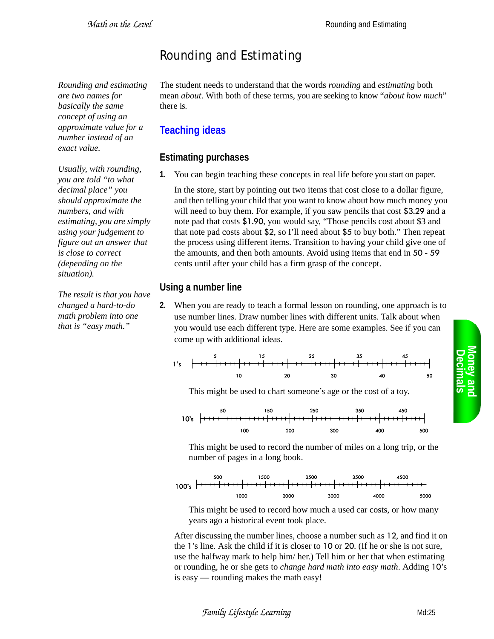# Rounding and Estimating

*Rounding and estimating are two names for basically the same concept of using an approximate value for a number instead of an exact value.* 

*Usually, with rounding, you are told "to what decimal place" you should approximate the numbers, and with estimating, you are simply using your judgement to figure out an answer that is close to correct (depending on the situation).* 

*The result is that you have changed a hard-to-do math problem into one that is "easy math."*

The student needs to understand that the words *rounding* and *estimating* both mean *about*. With both of these terms, you are seeking to know "*about how much*" there is.

## **Teaching ideas**

### **Estimating purchases**

**1.** You can begin teaching these concepts in real life before you start on paper.

In the store, start by pointing out two items that cost close to a dollar figure, and then telling your child that you want to know about how much money you will need to buy them. For example, if you saw pencils that cost \$3.29 and a note pad that costs \$1.90, you would say, "Those pencils cost about \$3 and that note pad costs about \$2, so I'll need about \$5 to buy both." Then repeat the process using different items. Transition to having your child give one of the amounts, and then both amounts. Avoid using items that end in 50 - 59 cents until after your child has a firm grasp of the concept.

### **Using a number line**

**2.** When you are ready to teach a formal lesson on rounding, one approach is to use number lines. Draw number lines with different units. Talk about when you would use each different type. Here are some examples. See if you can come up with additional ideas.

10 20 30 40 5 15 25 35 45 50 1's

This might be used to chart someone's age or the cost of a toy.



This might be used to record the number of miles on a long trip, or the number of pages in a long book.



This might be used to record how much a used car costs, or how many years ago a historical event took place.

After discussing the number lines, choose a number such as 12, and find it on the 1's line. Ask the child if it is closer to 10 or 20. (If he or she is not sure, use the halfway mark to help him/ her.) Tell him or her that when estimating or rounding, he or she gets to *change hard math into easy math*. Adding 10's is easy — rounding makes the math easy!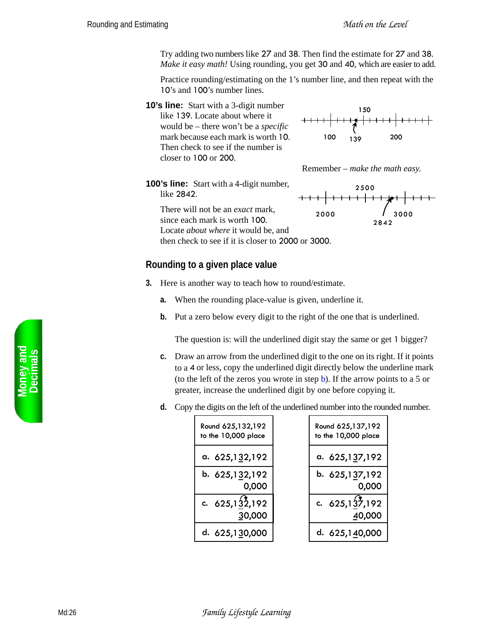Try adding two numbers like 27 and 38. Then find the estimate for 27 and 38. *Make it easy math!* Using rounding, you get 30 and 40, which are easier to add.

Practice rounding/estimating on the 1's number line, and then repeat with the 10's and 100's number lines.

**10's line:** Start with a 3-digit number like 139. Locate about where it would be – there won't be a *specific* mark because each mark is worth 10. Then check to see if the number is closer to 100 or 200.





**100's line:** Start with a 4-digit number, like 2842.

> There will not be an *exact* mark, since each mark is worth 100. Locate *about where* it would be, and

then check to see if it is closer to 2000 or 3000.

#### **Rounding to a given place value**

- **3.** Here is another way to teach how to round/estimate.
	- **a.** When the rounding place-value is given, underline it.
	- **b.** Put a zero below every digit to the right of the one that is underlined.

The question is: will the underlined digit stay the same or get 1 bigger?

- **c.** Draw an arrow from the underlined digit to the one on its right. If it points to a 4 or less, copy the underlined digit directly below the underline mark (to the left of the zeros you wrote in step b). If the arrow points to a 5 or greater, increase the underlined digit by one before copying it.
- **d.** Copy the digits on the left of the underlined number into the rounded number.

| Round 625,132,192   | Round 625,137,192   |
|---------------------|---------------------|
| to the 10,000 place | to the 10,000 place |
| a. $625,132,192$    | a. 625,137,192      |
| b. 625,132,192      | b. 625,137,192      |
| 0,000               | 0,000               |
| c. $625, 132, 192$  | c. $625,137,192$    |
| 30,000              | 40,000              |
| d. 625,130,000      | d. 625,140,000      |

**Money and<br>Decimals** 

2000 2500 2842